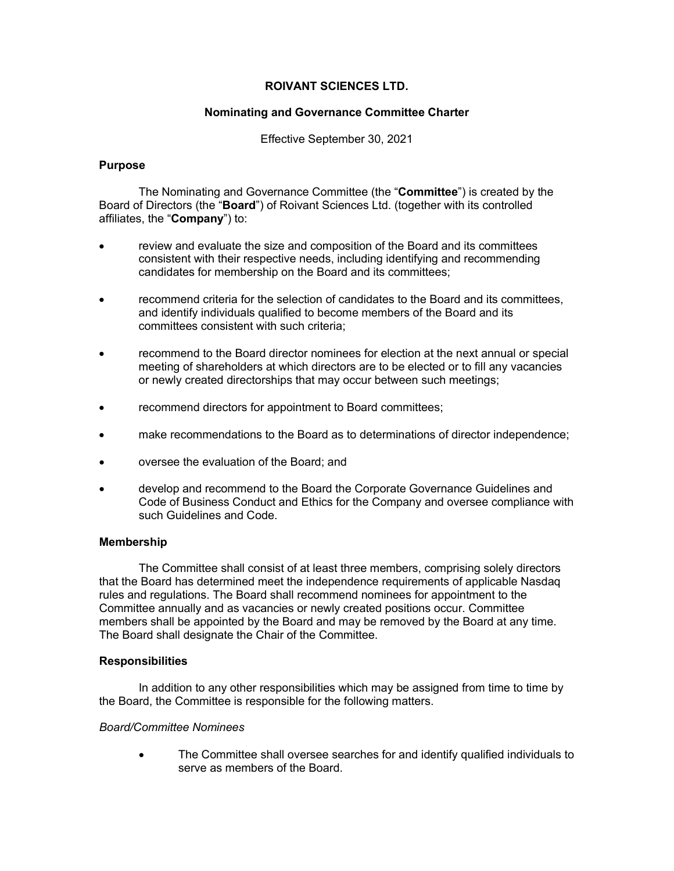## **ROIVANT SCIENCES LTD.**

## **Nominating and Governance Committee Charter**

Effective September 30, 2021

### **Purpose**

The Nominating and Governance Committee (the "**Committee**") is created by the Board of Directors (the "**Board**") of Roivant Sciences Ltd. (together with its controlled affiliates, the "**Company**") to:

- review and evaluate the size and composition of the Board and its committees consistent with their respective needs, including identifying and recommending candidates for membership on the Board and its committees;
- recommend criteria for the selection of candidates to the Board and its committees, and identify individuals qualified to become members of the Board and its committees consistent with such criteria;
- recommend to the Board director nominees for election at the next annual or special meeting of shareholders at which directors are to be elected or to fill any vacancies or newly created directorships that may occur between such meetings;
- recommend directors for appointment to Board committees;
- make recommendations to the Board as to determinations of director independence;
- oversee the evaluation of the Board; and
- develop and recommend to the Board the Corporate Governance Guidelines and Code of Business Conduct and Ethics for the Company and oversee compliance with such Guidelines and Code.

### **Membership**

The Committee shall consist of at least three members, comprising solely directors that the Board has determined meet the independence requirements of applicable Nasdaq rules and regulations. The Board shall recommend nominees for appointment to the Committee annually and as vacancies or newly created positions occur. Committee members shall be appointed by the Board and may be removed by the Board at any time. The Board shall designate the Chair of the Committee.

### **Responsibilities**

In addition to any other responsibilities which may be assigned from time to time by the Board, the Committee is responsible for the following matters.

### *Board/Committee Nominees*

• The Committee shall oversee searches for and identify qualified individuals to serve as members of the Board.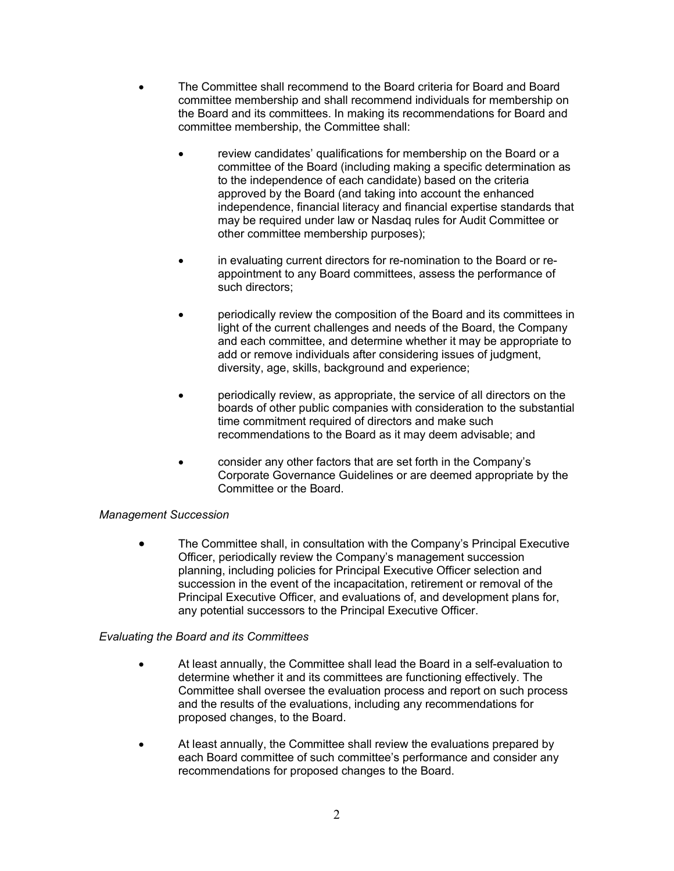- The Committee shall recommend to the Board criteria for Board and Board committee membership and shall recommend individuals for membership on the Board and its committees. In making its recommendations for Board and committee membership, the Committee shall:
	- review candidates' qualifications for membership on the Board or a committee of the Board (including making a specific determination as to the independence of each candidate) based on the criteria approved by the Board (and taking into account the enhanced independence, financial literacy and financial expertise standards that may be required under law or Nasdaq rules for Audit Committee or other committee membership purposes);
	- in evaluating current directors for re-nomination to the Board or reappointment to any Board committees, assess the performance of such directors;
	- periodically review the composition of the Board and its committees in light of the current challenges and needs of the Board, the Company and each committee, and determine whether it may be appropriate to add or remove individuals after considering issues of judgment, diversity, age, skills, background and experience;
	- periodically review, as appropriate, the service of all directors on the boards of other public companies with consideration to the substantial time commitment required of directors and make such recommendations to the Board as it may deem advisable; and
	- consider any other factors that are set forth in the Company's Corporate Governance Guidelines or are deemed appropriate by the Committee or the Board.

# *Management Succession*

• The Committee shall, in consultation with the Company's Principal Executive Officer, periodically review the Company's management succession planning, including policies for Principal Executive Officer selection and succession in the event of the incapacitation, retirement or removal of the Principal Executive Officer, and evaluations of, and development plans for, any potential successors to the Principal Executive Officer.

# *Evaluating the Board and its Committees*

- At least annually, the Committee shall lead the Board in a self-evaluation to determine whether it and its committees are functioning effectively. The Committee shall oversee the evaluation process and report on such process and the results of the evaluations, including any recommendations for proposed changes, to the Board.
- At least annually, the Committee shall review the evaluations prepared by each Board committee of such committee's performance and consider any recommendations for proposed changes to the Board.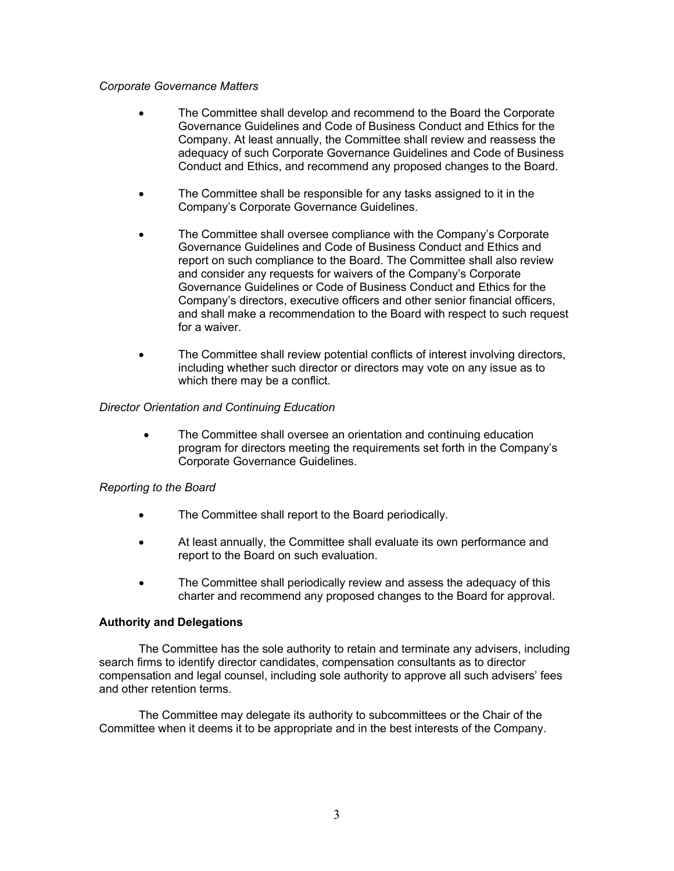#### *Corporate Governance Matters*

- The Committee shall develop and recommend to the Board the Corporate Governance Guidelines and Code of Business Conduct and Ethics for the Company. At least annually, the Committee shall review and reassess the adequacy of such Corporate Governance Guidelines and Code of Business Conduct and Ethics, and recommend any proposed changes to the Board.
- The Committee shall be responsible for any tasks assigned to it in the Company's Corporate Governance Guidelines.
- The Committee shall oversee compliance with the Company's Corporate Governance Guidelines and Code of Business Conduct and Ethics and report on such compliance to the Board. The Committee shall also review and consider any requests for waivers of the Company's Corporate Governance Guidelines or Code of Business Conduct and Ethics for the Company's directors, executive officers and other senior financial officers, and shall make a recommendation to the Board with respect to such request for a waiver.
- The Committee shall review potential conflicts of interest involving directors, including whether such director or directors may vote on any issue as to which there may be a conflict.

### *Director Orientation and Continuing Education*

• The Committee shall oversee an orientation and continuing education program for directors meeting the requirements set forth in the Company's Corporate Governance Guidelines.

### *Reporting to the Board*

- The Committee shall report to the Board periodically.
- At least annually, the Committee shall evaluate its own performance and report to the Board on such evaluation.
- The Committee shall periodically review and assess the adequacy of this charter and recommend any proposed changes to the Board for approval.

### **Authority and Delegations**

The Committee has the sole authority to retain and terminate any advisers, including search firms to identify director candidates, compensation consultants as to director compensation and legal counsel, including sole authority to approve all such advisers' fees and other retention terms.

The Committee may delegate its authority to subcommittees or the Chair of the Committee when it deems it to be appropriate and in the best interests of the Company.